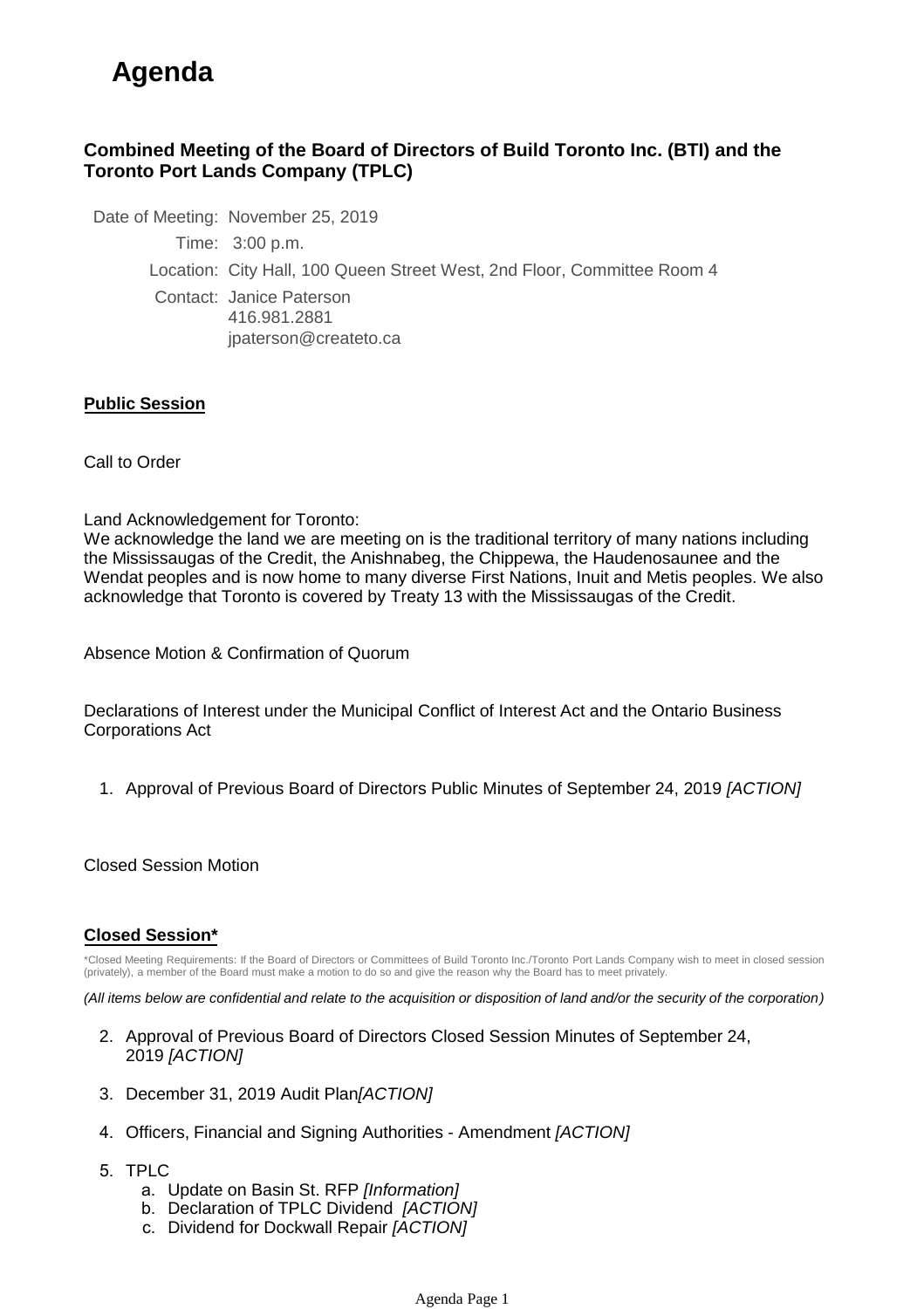## **Agenda**

## **Combined Meeting of the Board of Directors of Build Toronto Inc. (BTI) and the Toronto Port Lands Company (TPLC)**

Date of Meeting: November 25, 2019

Time: 3:00 p.m.

Location: City Hall, 100 Queen Street West, 2nd Floor, Committee Room 4

Contact: Janice Paterson 416.981.2881 jpaterson@createto.ca

## **Public Session**

Call to Order

Land Acknowledgement for Toronto:

We acknowledge the land we are meeting on is the traditional territory of many nations including the Mississaugas of the Credit, the Anishnabeg, the Chippewa, the Haudenosaunee and the Wendat peoples and is now home to many diverse First Nations, Inuit and Metis peoples. We also acknowledge that Toronto is covered by Treaty 13 with the Mississaugas of the Credit.

Absence Motion & Confirmation of Quorum

Declarations of Interest under the Municipal Conflict of Interest Act and the Ontario Business Corporations Act

1. Approval of Previous Board of Directors Public Minutes of September 24, 2019 *[ACTION]*

Closed Session Motion

## **Closed Session\***

\*Closed Meeting Requirements: If the Board of Directors or Committees of Build Toronto Inc./Toronto Port Lands Company wish to meet in closed session (privately), a member of the Board must make a motion to do so and give the reason why the Board has to meet privately.

*(All items below are confidential and relate to the acquisition or disposition of land and/or the security of the corporation)*

- 2. Approval of Previous Board of Directors Closed Session Minutes of September 24, 2019 *[ACTION]*
- 3. December 31, 2019 Audit Plan*[ACTION]*
- 4. Officers, Financial and Signing Authorities Amendment *[ACTION]*
- 5. TPLC
	- a. Update on Basin St. RFP *[Information]*
	- b. Declaration of TPLC Dividend *[ACTION]*
	- c. Dividend for Dockwall Repair *[ACTION]*